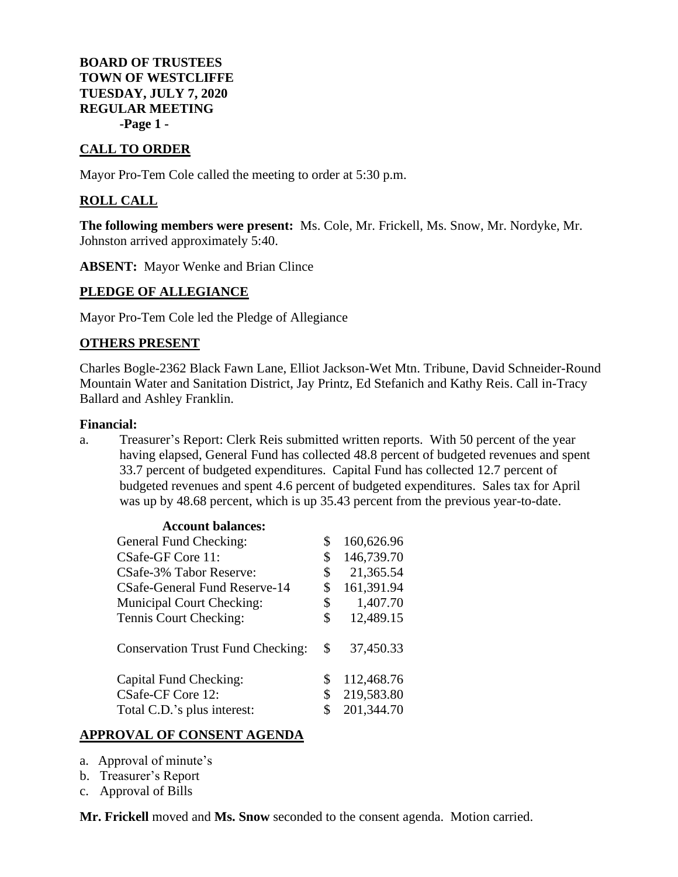**BOARD OF TRUSTEES TOWN OF WESTCLIFFE TUESDAY, JULY 7, 2020 REGULAR MEETING -Page 1 -**

# **CALL TO ORDER**

Mayor Pro-Tem Cole called the meeting to order at 5:30 p.m.

## **ROLL CALL**

**The following members were present:** Ms. Cole, Mr. Frickell, Ms. Snow, Mr. Nordyke, Mr. Johnston arrived approximately 5:40.

**ABSENT:** Mayor Wenke and Brian Clince

## **PLEDGE OF ALLEGIANCE**

Mayor Pro-Tem Cole led the Pledge of Allegiance

## **OTHERS PRESENT**

Charles Bogle-2362 Black Fawn Lane, Elliot Jackson-Wet Mtn. Tribune, David Schneider-Round Mountain Water and Sanitation District, Jay Printz, Ed Stefanich and Kathy Reis. Call in-Tracy Ballard and Ashley Franklin.

#### **Financial:**

a. Treasurer's Report: Clerk Reis submitted written reports. With 50 percent of the year having elapsed, General Fund has collected 48.8 percent of budgeted revenues and spent 33.7 percent of budgeted expenditures. Capital Fund has collected 12.7 percent of budgeted revenues and spent 4.6 percent of budgeted expenditures. Sales tax for April was up by 48.68 percent, which is up 35.43 percent from the previous year-to-date.

| \$<br>160,626.96 |
|------------------|
| \$<br>146,739.70 |
| \$<br>21,365.54  |
| \$<br>161,391.94 |
| \$<br>1,407.70   |
| \$<br>12,489.15  |
| \$<br>37,450.33  |
| \$<br>112,468.76 |
| \$<br>219,583.80 |
| 201,344.70       |
|                  |

## **APPROVAL OF CONSENT AGENDA**

- a. Approval of minute's
- b. Treasurer's Report
- c. Approval of Bills

**Mr. Frickell** moved and **Ms. Snow** seconded to the consent agenda. Motion carried.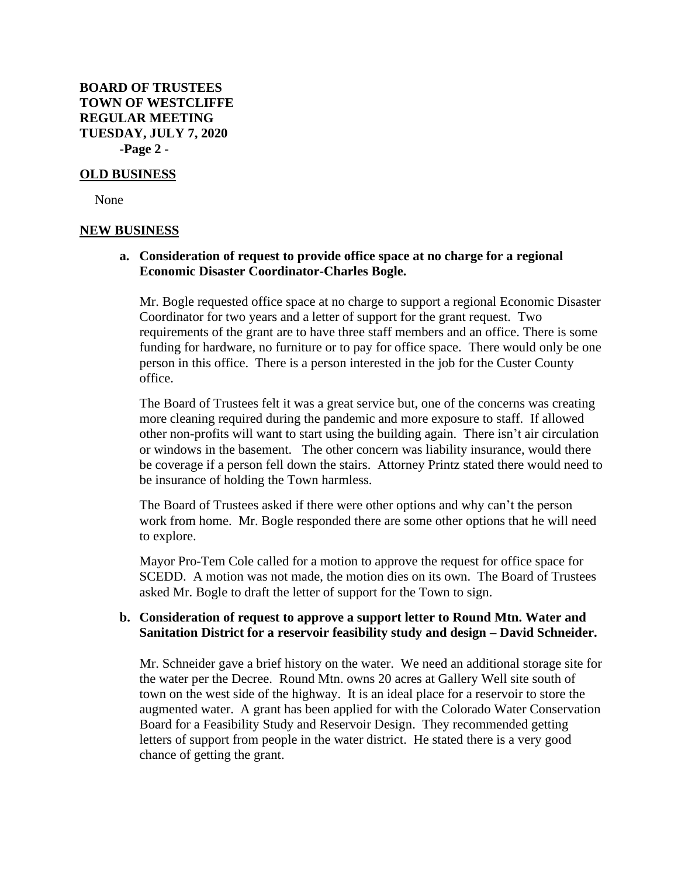**BOARD OF TRUSTEES TOWN OF WESTCLIFFE REGULAR MEETING TUESDAY, JULY 7, 2020 -Page 2 -**

### **OLD BUSINESS**

None

#### **NEW BUSINESS**

## **a. Consideration of request to provide office space at no charge for a regional Economic Disaster Coordinator-Charles Bogle.**

Mr. Bogle requested office space at no charge to support a regional Economic Disaster Coordinator for two years and a letter of support for the grant request. Two requirements of the grant are to have three staff members and an office. There is some funding for hardware, no furniture or to pay for office space. There would only be one person in this office. There is a person interested in the job for the Custer County office.

The Board of Trustees felt it was a great service but, one of the concerns was creating more cleaning required during the pandemic and more exposure to staff. If allowed other non-profits will want to start using the building again. There isn't air circulation or windows in the basement. The other concern was liability insurance, would there be coverage if a person fell down the stairs. Attorney Printz stated there would need to be insurance of holding the Town harmless.

The Board of Trustees asked if there were other options and why can't the person work from home. Mr. Bogle responded there are some other options that he will need to explore.

Mayor Pro-Tem Cole called for a motion to approve the request for office space for SCEDD. A motion was not made, the motion dies on its own. The Board of Trustees asked Mr. Bogle to draft the letter of support for the Town to sign.

### **b. Consideration of request to approve a support letter to Round Mtn. Water and Sanitation District for a reservoir feasibility study and design – David Schneider.**

Mr. Schneider gave a brief history on the water. We need an additional storage site for the water per the Decree. Round Mtn. owns 20 acres at Gallery Well site south of town on the west side of the highway. It is an ideal place for a reservoir to store the augmented water. A grant has been applied for with the Colorado Water Conservation Board for a Feasibility Study and Reservoir Design. They recommended getting letters of support from people in the water district. He stated there is a very good chance of getting the grant.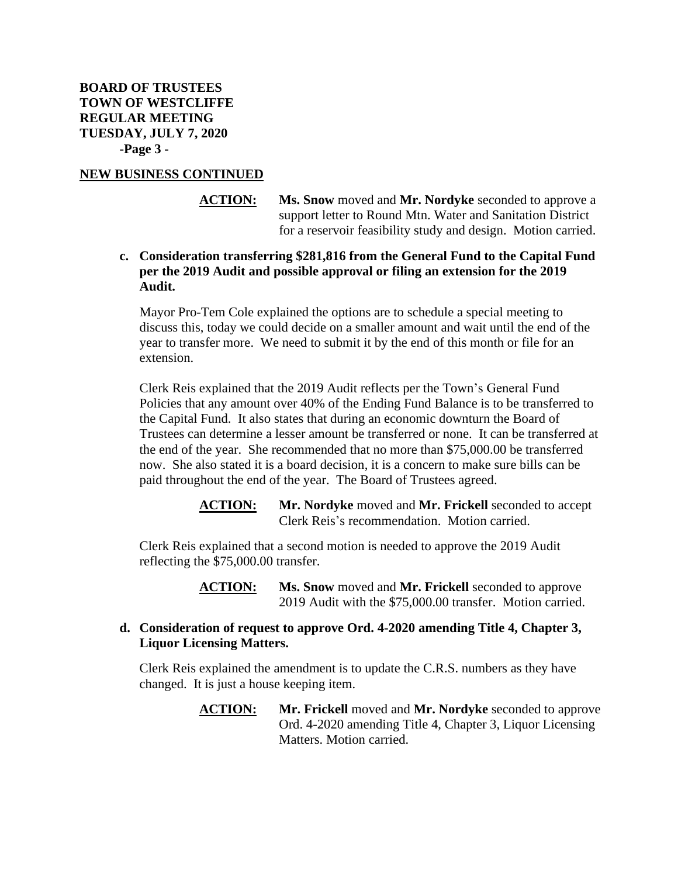**BOARD OF TRUSTEES TOWN OF WESTCLIFFE REGULAR MEETING TUESDAY, JULY 7, 2020 -Page 3 -**

### **NEW BUSINESS CONTINUED**

- **ACTION: Ms. Snow** moved and **Mr. Nordyke** seconded to approve a support letter to Round Mtn. Water and Sanitation District for a reservoir feasibility study and design. Motion carried.
- **c. Consideration transferring \$281,816 from the General Fund to the Capital Fund per the 2019 Audit and possible approval or filing an extension for the 2019 Audit.**

Mayor Pro-Tem Cole explained the options are to schedule a special meeting to discuss this, today we could decide on a smaller amount and wait until the end of the year to transfer more. We need to submit it by the end of this month or file for an extension.

Clerk Reis explained that the 2019 Audit reflects per the Town's General Fund Policies that any amount over 40% of the Ending Fund Balance is to be transferred to the Capital Fund. It also states that during an economic downturn the Board of Trustees can determine a lesser amount be transferred or none. It can be transferred at the end of the year. She recommended that no more than \$75,000.00 be transferred now. She also stated it is a board decision, it is a concern to make sure bills can be paid throughout the end of the year. The Board of Trustees agreed.

> **ACTION: Mr. Nordyke** moved and **Mr. Frickell** seconded to accept Clerk Reis's recommendation. Motion carried.

Clerk Reis explained that a second motion is needed to approve the 2019 Audit reflecting the \$75,000.00 transfer.

> **ACTION: Ms. Snow** moved and **Mr. Frickell** seconded to approve 2019 Audit with the \$75,000.00 transfer. Motion carried.

### **d. Consideration of request to approve Ord. 4-2020 amending Title 4, Chapter 3, Liquor Licensing Matters.**

Clerk Reis explained the amendment is to update the C.R.S. numbers as they have changed. It is just a house keeping item.

> **ACTION: Mr. Frickell** moved and **Mr. Nordyke** seconded to approve Ord. 4-2020 amending Title 4, Chapter 3, Liquor Licensing Matters. Motion carried.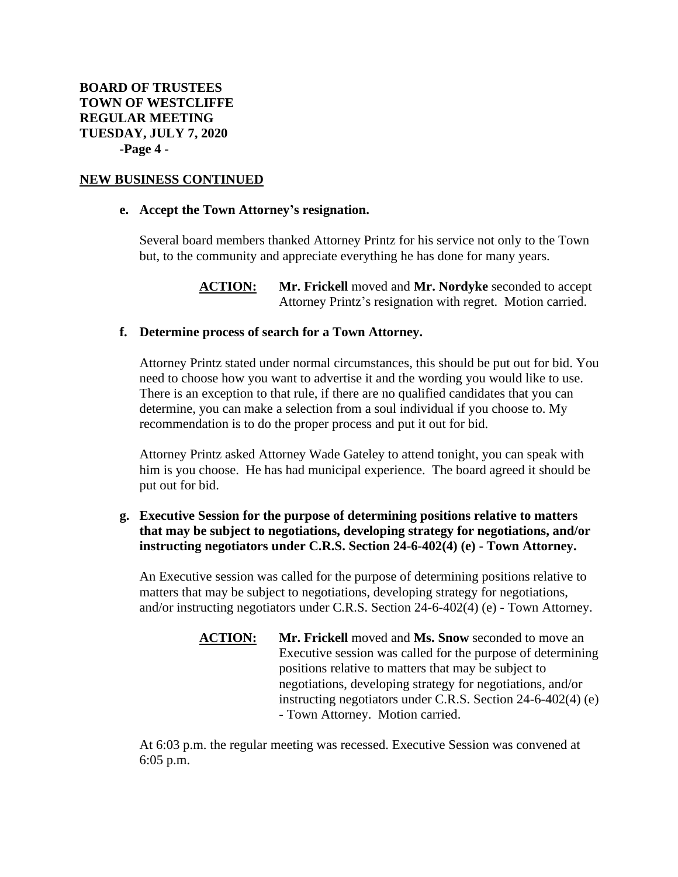### **NEW BUSINESS CONTINUED**

#### **e. Accept the Town Attorney's resignation.**

Several board members thanked Attorney Printz for his service not only to the Town but, to the community and appreciate everything he has done for many years.

> **ACTION: Mr. Frickell** moved and **Mr. Nordyke** seconded to accept Attorney Printz's resignation with regret. Motion carried.

#### **f. Determine process of search for a Town Attorney.**

Attorney Printz stated under normal circumstances, this should be put out for bid. You need to choose how you want to advertise it and the wording you would like to use. There is an exception to that rule, if there are no qualified candidates that you can determine, you can make a selection from a soul individual if you choose to. My recommendation is to do the proper process and put it out for bid.

Attorney Printz asked Attorney Wade Gateley to attend tonight, you can speak with him is you choose. He has had municipal experience. The board agreed it should be put out for bid.

**g. Executive Session for the purpose of determining positions relative to matters that may be subject to negotiations, developing strategy for negotiations, and/or instructing negotiators under C.R.S. Section 24-6-402(4) (e) - Town Attorney.**

An Executive session was called for the purpose of determining positions relative to matters that may be subject to negotiations, developing strategy for negotiations, and/or instructing negotiators under C.R.S. Section 24-6-402(4) (e) - Town Attorney.

> **ACTION: Mr. Frickell** moved and **Ms. Snow** seconded to move an Executive session was called for the purpose of determining positions relative to matters that may be subject to negotiations, developing strategy for negotiations, and/or instructing negotiators under C.R.S. Section 24-6-402(4) (e) - Town Attorney. Motion carried.

At 6:03 p.m. the regular meeting was recessed. Executive Session was convened at 6:05 p.m.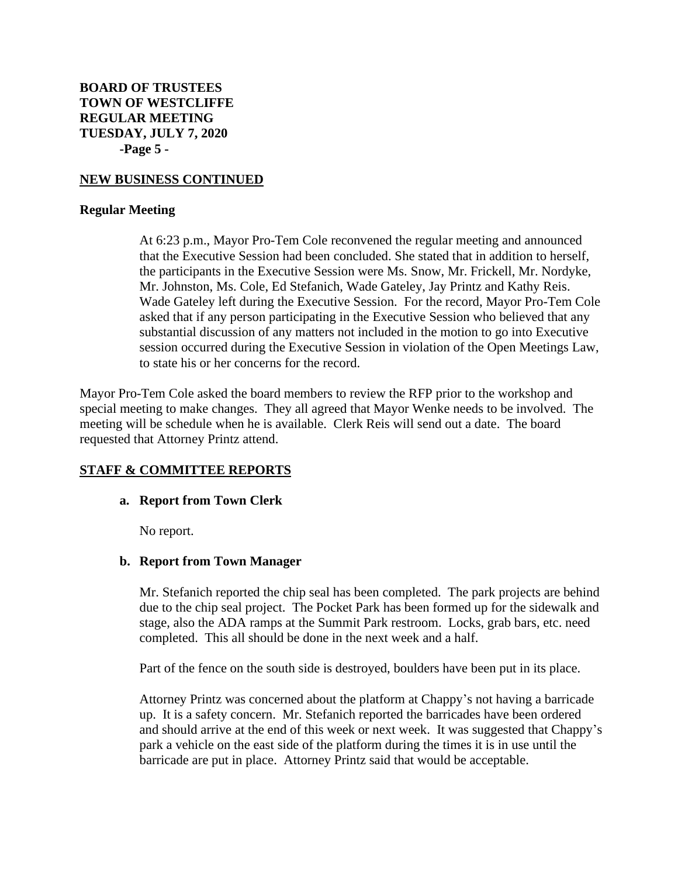**BOARD OF TRUSTEES TOWN OF WESTCLIFFE REGULAR MEETING TUESDAY, JULY 7, 2020 -Page 5 -**

### **NEW BUSINESS CONTINUED**

#### **Regular Meeting**

At 6:23 p.m., Mayor Pro-Tem Cole reconvened the regular meeting and announced that the Executive Session had been concluded. She stated that in addition to herself, the participants in the Executive Session were Ms. Snow, Mr. Frickell, Mr. Nordyke, Mr. Johnston, Ms. Cole, Ed Stefanich, Wade Gateley, Jay Printz and Kathy Reis. Wade Gateley left during the Executive Session. For the record, Mayor Pro-Tem Cole asked that if any person participating in the Executive Session who believed that any substantial discussion of any matters not included in the motion to go into Executive session occurred during the Executive Session in violation of the Open Meetings Law, to state his or her concerns for the record.

Mayor Pro-Tem Cole asked the board members to review the RFP prior to the workshop and special meeting to make changes. They all agreed that Mayor Wenke needs to be involved. The meeting will be schedule when he is available. Clerk Reis will send out a date. The board requested that Attorney Printz attend.

#### **STAFF & COMMITTEE REPORTS**

#### **a. Report from Town Clerk**

No report.

### **b. Report from Town Manager**

Mr. Stefanich reported the chip seal has been completed. The park projects are behind due to the chip seal project. The Pocket Park has been formed up for the sidewalk and stage, also the ADA ramps at the Summit Park restroom. Locks, grab bars, etc. need completed. This all should be done in the next week and a half.

Part of the fence on the south side is destroyed, boulders have been put in its place.

Attorney Printz was concerned about the platform at Chappy's not having a barricade up. It is a safety concern. Mr. Stefanich reported the barricades have been ordered and should arrive at the end of this week or next week. It was suggested that Chappy's park a vehicle on the east side of the platform during the times it is in use until the barricade are put in place. Attorney Printz said that would be acceptable.